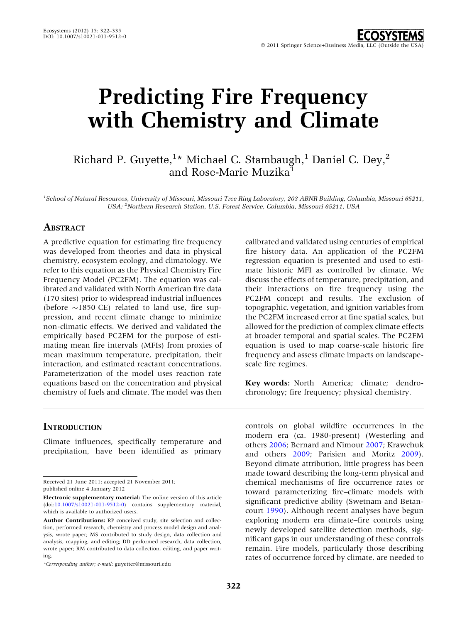# Predicting Fire Frequency with Chemistry and Climate

Richard P. Guyette,<sup>1</sup>\* Michael C. Stambaugh,<sup>1</sup> Daniel C. Dey,<sup>2</sup> and Rose-Marie Muzika

1 School of Natural Resources, University of Missouri, Missouri Tree Ring Laboratory, 203 ABNR Building, Columbia, Missouri 65211, USA; <sup>2</sup>Northern Research Station, U.S. Forest Service, Columbia, Missouri 65211, USA

#### ABSTRACT

A predictive equation for estimating fire frequency was developed from theories and data in physical chemistry, ecosystem ecology, and climatology. We refer to this equation as the Physical Chemistry Fire Frequency Model (PC2FM). The equation was calibrated and validated with North American fire data (170 sites) prior to widespread industrial influences (before  $\sim$ 1850 CE) related to land use, fire suppression, and recent climate change to minimize non-climatic effects. We derived and validated the empirically based PC2FM for the purpose of estimating mean fire intervals (MFIs) from proxies of mean maximum temperature, precipitation, their interaction, and estimated reactant concentrations. Parameterization of the model uses reaction rate equations based on the concentration and physical chemistry of fuels and climate. The model was then

calibrated and validated using centuries of empirical fire history data. An application of the PC2FM regression equation is presented and used to estimate historic MFI as controlled by climate. We discuss the effects of temperature, precipitation, and their interactions on fire frequency using the PC2FM concept and results. The exclusion of topographic, vegetation, and ignition variables from the PC2FM increased error at fine spatial scales, but allowed for the prediction of complex climate effects at broader temporal and spatial scales. The PC2FM equation is used to map coarse-scale historic fire frequency and assess climate impacts on landscapescale fire regimes.

Key words: North America; climate; dendrochronology; fire frequency; physical chemistry.

## **INTRODUCTION**

Climate influences, specifically temperature and precipitation, have been identified as primary

Received 21 June 2011; accepted 21 November 2011; published online 4 January 2012

controls on global wildfire occurrences in the modern era (ca. 1980-present) (Westerling and others [2006](#page-13-0); Bernard and Nimour [2007](#page-11-0); Krawchuk and others [2009](#page-12-0); Parisien and Moritz [2009](#page-12-0)). Beyond climate attribution, little progress has been made toward describing the long-term physical and chemical mechanisms of fire occurrence rates or toward parameterizing fire–climate models with significant predictive ability (Swetnam and Betancourt [1990](#page-12-0)). Although recent analyses have begun exploring modern era climate–fire controls using newly developed satellite detection methods, significant gaps in our understanding of these controls remain. Fire models, particularly those describing rates of occurrence forced by climate, are needed to

Electronic supplementary material: The online version of this article (doi[:10.1007/s10021-011-9512-0\)](http://dx.doi.org/10.1007/s10021-011-9512-0) contains supplementary material, which is available to authorized users.

Author Contributions: RP conceived study, site selection and collection, performed research, chemistry and process model design and analysis, wrote paper; MS contributed to study design, data collection and analysis, mapping, and editing; DD performed research, data collection, wrote paper; RM contributed to data collection, editing, and paper writing.

<sup>\*</sup>Corresponding author; e-mail: guyetter@missouri.edu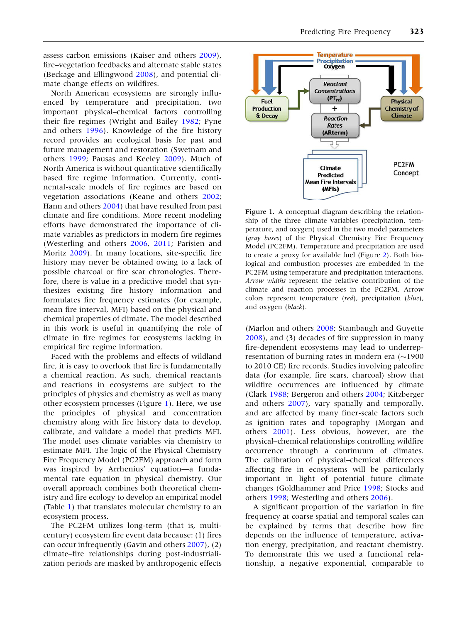<span id="page-1-0"></span>assess carbon emissions (Kaiser and others [2009](#page-12-0)), fire–vegetation feedbacks and alternate stable states (Beckage and Ellingwood [2008\)](#page-11-0), and potential climate change effects on wildfires.

North American ecosystems are strongly influenced by temperature and precipitation, two important physical–chemical factors controlling their fire regimes (Wright and Bailey [1982;](#page-13-0) Pyne and others [1996](#page-12-0)). Knowledge of the fire history record provides an ecological basis for past and future management and restoration (Swetnam and others [1999;](#page-13-0) Pausas and Keeley [2009\)](#page-12-0). Much of North America is without quantitative scientifically based fire regime information. Currently, continental-scale models of fire regimes are based on vegetation associations (Keane and others [2002](#page-12-0); Hann and others [2004\)](#page-12-0) that have resulted from past climate and fire conditions. More recent modeling efforts have demonstrated the importance of climate variables as predictors in modern fire regimes (Westerling and others [2006,](#page-13-0) [2011;](#page-13-0) Parisien and Moritz [2009\)](#page-12-0). In many locations, site-specific fire history may never be obtained owing to a lack of possible charcoal or fire scar chronologies. Therefore, there is value in a predictive model that synthesizes existing fire history information and formulates fire frequency estimates (for example, mean fire interval, MFI) based on the physical and chemical properties of climate. The model described in this work is useful in quantifying the role of climate in fire regimes for ecosystems lacking in empirical fire regime information.

Faced with the problems and effects of wildland fire, it is easy to overlook that fire is fundamentally a chemical reaction. As such, chemical reactants and reactions in ecosystems are subject to the principles of physics and chemistry as well as many other ecosystem processes (Figure 1). Here, we use the principles of physical and concentration chemistry along with fire history data to develop, calibrate, and validate a model that predicts MFI. The model uses climate variables via chemistry to estimate MFI. The logic of the Physical Chemistry Fire Frequency Model (PC2FM) approach and form was inspired by Arrhenius' equation—a fundamental rate equation in physical chemistry. Our overall approach combines both theoretical chemistry and fire ecology to develop an empirical model (Table [1](#page-2-0)) that translates molecular chemistry to an ecosystem process.

The PC2FM utilizes long-term (that is, multicentury) ecosystem fire event data because: (1) fires can occur infrequently (Gavin and others [2007\)](#page-12-0), (2) climate–fire relationships during post-industrialization periods are masked by anthropogenic effects



Figure 1. A conceptual diagram describing the relationship of the three climate variables (precipitation, temperature, and oxygen) used in the two model parameters (gray boxes) of the Physical Chemistry Fire Frequency Model (PC2FM). Temperature and precipitation are used to create a proxy for available fuel (Figure [2\)](#page-4-0). Both biological and combustion processes are embedded in the PC2FM using temperature and precipitation interactions. Arrow widths represent the relative contribution of the climate and reaction processes in the PC2FM. Arrow colors represent temperature (red), precipitation (blue), and oxygen (black).

(Marlon and others [2008](#page-12-0); Stambaugh and Guyette [2008\)](#page-12-0), and (3) decades of fire suppression in many fire-dependent ecosystems may lead to underrepresentation of burning rates in modern era ( $\sim$ 1900 to 2010 CE) fire records. Studies involving paleofire data (for example, fire scars, charcoal) show that wildfire occurrences are influenced by climate (Clark [1988;](#page-11-0) Bergeron and others [2004](#page-11-0); Kitzberger and others [2007](#page-12-0)), vary spatially and temporally, and are affected by many finer-scale factors such as ignition rates and topography (Morgan and others [2001](#page-12-0)). Less obvious, however, are the physical–chemical relationships controlling wildfire occurrence through a continuum of climates. The calibration of physical–chemical differences affecting fire in ecosystems will be particularly important in light of potential future climate changes (Goldhammer and Price [1998](#page-12-0); Stocks and others [1998;](#page-12-0) Westerling and others [2006](#page-13-0)).

A significant proportion of the variation in fire frequency at coarse spatial and temporal scales can be explained by terms that describe how fire depends on the influence of temperature, activation energy, precipitation, and reactant chemistry. To demonstrate this we used a functional relationship, a negative exponential, comparable to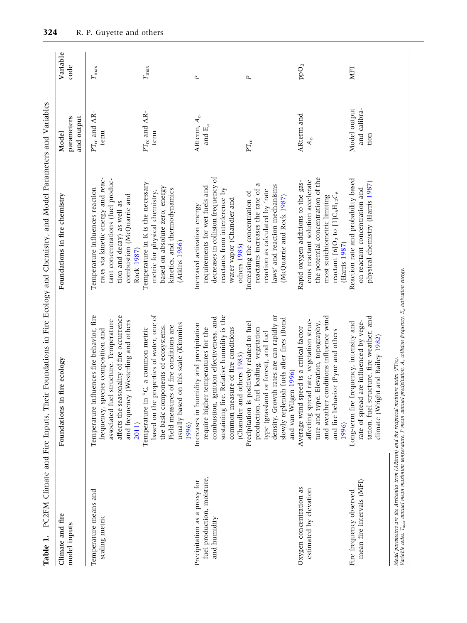| Table 1.                                                                                   | PC2FM Climate and Fire Inputs, Their Foundations in Fire Ecology and Chemistry, and Model Parameters and Variables                                                                                                                             |                                                                                                                                                                                                      |                                                              |                  |
|--------------------------------------------------------------------------------------------|------------------------------------------------------------------------------------------------------------------------------------------------------------------------------------------------------------------------------------------------|------------------------------------------------------------------------------------------------------------------------------------------------------------------------------------------------------|--------------------------------------------------------------|------------------|
| Climate and fire<br>model inputs                                                           | Foundations in fire ecology                                                                                                                                                                                                                    | Foundations in fire chemistry                                                                                                                                                                        | and output<br>parameters<br>Model                            | Variable<br>code |
| Temperature means and<br>scaling metric                                                    | Temperature influences fire behavior, fire<br>affects the seasonality of fire occurrence<br>associated fuel structure. Temperature<br>and frequency (Westerling and others<br>frequency, species composition and<br>2011)                      | rates via kinetic energy and reac-<br>tant concentrations (fuel produc-<br>Temperature influences reaction<br>combustion (McQuarrie and<br>tion and decay) as well as<br>Rock 1987)                  | $PT_{rc}$ and AR<br>term                                     | $T_{\rm max}$    |
|                                                                                            | based on the properties of water, one of<br>usually based on this scale (Kimmins<br>Field measures of fire conditions are<br>the basic components of ecosystems.<br>Temperature in °C, a common metric<br>1996)                                | Temperature in K is the necessary<br>based on absolute zero, energy<br>kinetics, and thermodynamics<br>metric for physical chemistry,<br>(Atkins 1986)                                               | $\text{PT}_{\text{rc}}$ and AR-<br>term                      | $T_{\rm max}$    |
| fuel production, moisture,<br>Precipitation as a proxy for<br>and humidity                 | sustaining fire. Relative humidity is the<br>combustion, ignition effectiveness, and<br>Increases in humidity and precipitation<br>require higher temperatures for the<br>common measure of fire conditions<br>(Chandler and others 1983)      | decreases in collision frequency of<br>requirements for wet fuels and<br>reactants from interference by<br>water vapor (Chandler and<br>Increased activation energy<br>others 1983)                  | A<br>R<br>term, $A_{\rm o}$<br>and $\mathbb{E}_{\mathbf{a}}$ | P                |
|                                                                                            | density. Growth rates are can rapidly or<br>slowly replenish fuels after fires (Bond<br>Precipitation is positively related to fuel<br>fuel loading, vegetation<br>type (grassland or forest), and fuel<br>and van Wilgen 1996)<br>production, | a<br>laws' and reaction mechanisms<br>reactants increases the rate of<br>reaction as calculated by 'rate<br>Increasing the concentration of<br>(McQuarrie and Rock 1987)                             | ${\rm PT}_{\rm rc}$                                          | P                |
| Oxygen concentration as<br>estimated by elevation                                          | conditions influence wind<br>affecting spread rate, vegetation struc-<br>ture and type. Elevation, topography,<br>Average wind speed is a critical factor<br>and fire behavior (Pyne and others<br>and weather<br>1996)                        | the potential concentration of the<br>eous reactant solution accelerate<br>Rapid oxygen additions to the gas-<br>reactant [6] $O2$ to [1] $C6H12C6$<br>most stoichiometric limiting<br>(Harris 1987) | ARterm and<br>$A_{\rm o}$                                    | ppO <sub>2</sub> |
| mean fire intervals (MFI)<br>Fire frequency observed                                       | tation, fuel structure, fire weather, and<br>rate of spread are influenced by vege-<br>Long-term fire frequency, intensity and<br>climate (Wright and Bailey 1982)                                                                             | Reaction rate and probability based<br>physical chemistry (Harris 1987)<br>on reactant concentration and                                                                                             | Model output<br>and calibra-<br>tion                         | MFI              |
| Model parameters are the Arrhenius term (ARterm) and the reciprocal moisture index (PTrc). | Variable codes: T <sub>max</sub> annual mean maximum temperature. P mean annual precipitation, A <sub>o</sub> collision frequency, E <sub>a</sub> activation energy.                                                                           |                                                                                                                                                                                                      |                                                              |                  |

<span id="page-2-0"></span>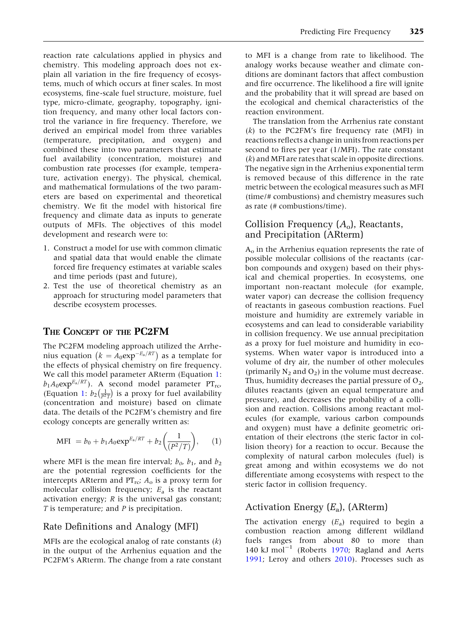reaction rate calculations applied in physics and chemistry. This modeling approach does not explain all variation in the fire frequency of ecosystems, much of which occurs at finer scales. In most ecosystems, fine-scale fuel structure, moisture, fuel type, micro-climate, geography, topography, ignition frequency, and many other local factors control the variance in fire frequency. Therefore, we derived an empirical model from three variables (temperature, precipitation, and oxygen) and combined these into two parameters that estimate fuel availability (concentration, moisture) and combustion rate processes (for example, temperature, activation energy). The physical, chemical, and mathematical formulations of the two parameters are based on experimental and theoretical chemistry. We fit the model with historical fire frequency and climate data as inputs to generate outputs of MFIs. The objectives of this model development and research were to:

- 1. Construct a model for use with common climatic and spatial data that would enable the climate forced fire frequency estimates at variable scales and time periods (past and future),
- 2. Test the use of theoretical chemistry as an approach for structuring model parameters that describe ecosystem processes.

## THE CONCEPT OF THE PC2FM

The PC2FM modeling approach utilized the Arrhenius equation  $(k = A_0 exp^{-E_a/RT})$  as a template for the effects of physical chemistry on fire frequency. We call this model parameter ARterm (Equation 1:  $b_1A_0$ exp<sup>E<sub>a</sub>/RT</sup>). A second model parameter PT<sub>rc</sub>, (Equation 1:  $b_2 \left( \frac{1}{P^2 T} \right)$  $\left(\frac{1}{p^2\tau}\right)$  is a proxy for fuel availability (concentration and moisture) based on climate data. The details of the PC2FM's chemistry and fire ecology concepts are generally written as:

$$
MFI = b_0 + b_1 A_0 \exp^{E_a/RT} + b_2 \left(\frac{1}{(P^2/T)}\right), \quad (1)
$$

where MFI is the mean fire interval;  $b_0$ ,  $b_1$ , and  $b_2$ are the potential regression coefficients for the intercepts ARterm and  $PT_{rc}$ ;  $A_0$  is a proxy term for molecular collision frequency;  $E_a$  is the reactant activation energy; R is the universal gas constant; T is temperature; and P is precipitation.

#### Rate Definitions and Analogy (MFI)

MFIs are the ecological analog of rate constants  $(k)$ in the output of the Arrhenius equation and the PC2FM's ARterm. The change from a rate constant

to MFI is a change from rate to likelihood. The analogy works because weather and climate conditions are dominant factors that affect combustion and fire occurrence. The likelihood a fire will ignite and the probability that it will spread are based on the ecological and chemical characteristics of the reaction environment.

The translation from the Arrhenius rate constant  $(k)$  to the PC2FM's fire frequency rate (MFI) in reactions reflects a change in units from reactions per second to fires per year (1/MFI). The rate constant (k) and MFI are rates that scale in opposite directions. The negative sign in the Arrhenius exponential term is removed because of this difference in the rate metric between the ecological measures such as MFI (time/# combustions) and chemistry measures such as rate (# combustions/time).

## Collision Frequency  $(A_0)$ , Reactants, and Precipitation (ARterm)

 $A<sub>o</sub>$  in the Arrhenius equation represents the rate of possible molecular collisions of the reactants (carbon compounds and oxygen) based on their physical and chemical properties. In ecosystems, one important non-reactant molecule (for example, water vapor) can decrease the collision frequency of reactants in gaseous combustion reactions. Fuel moisture and humidity are extremely variable in ecosystems and can lead to considerable variability in collision frequency. We use annual precipitation as a proxy for fuel moisture and humidity in ecosystems. When water vapor is introduced into a volume of dry air, the number of other molecules (primarily  $N_2$  and  $O_2$ ) in the volume must decrease. Thus, humidity decreases the partial pressure of  $O<sub>2</sub>$ , dilutes reactants (given an equal temperature and pressure), and decreases the probability of a collision and reaction. Collisions among reactant molecules (for example, various carbon compounds and oxygen) must have a definite geometric orientation of their electrons (the steric factor in collision theory) for a reaction to occur. Because the complexity of natural carbon molecules (fuel) is great among and within ecosystems we do not differentiate among ecosystems with respect to the steric factor in collision frequency.

## Activation Energy  $(E_a)$ , (ARterm)

The activation energy  $(E_a)$  required to begin a combustion reaction among different wildland fuels ranges from about 80 to more than 140 kJ mol<sup>-1</sup> (Roberts [1970](#page-12-0); Ragland and Aerts [1991;](#page-12-0) Leroy and others [2010\)](#page-12-0). Processes such as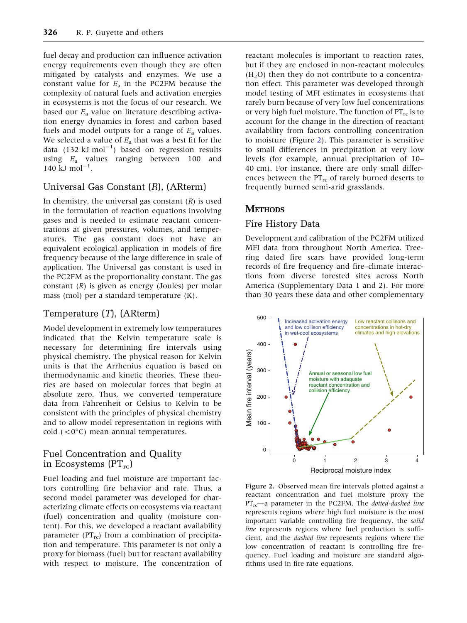<span id="page-4-0"></span>fuel decay and production can influence activation energy requirements even though they are often mitigated by catalysts and enzymes. We use a constant value for  $E_a$  in the PC2FM because the complexity of natural fuels and activation energies in ecosystems is not the focus of our research. We based our  $E_a$  value on literature describing activation energy dynamics in forest and carbon based fuels and model outputs for a range of  $E_a$  values. We selected a value of  $E_a$  that was a best fit for the data (132 kJ mol<sup>-1</sup>) based on regression results using  $E_a$  values ranging between 100 and  $140 \text{ kJ mol}^{-1}$ .

## Universal Gas Constant (R), (ARterm)

In chemistry, the universal gas constant  $(R)$  is used in the formulation of reaction equations involving gases and is needed to estimate reactant concentrations at given pressures, volumes, and temperatures. The gas constant does not have an equivalent ecological application in models of fire frequency because of the large difference in scale of application. The Universal gas constant is used in the PC2FM as the proportionality constant. The gas constant  $(R)$  is given as energy (Joules) per molar mass (mol) per a standard temperature (K).

## Temperature (T), (ARterm)

Model development in extremely low temperatures indicated that the Kelvin temperature scale is necessary for determining fire intervals using physical chemistry. The physical reason for Kelvin units is that the Arrhenius equation is based on thermodynamic and kinetic theories. These theories are based on molecular forces that begin at absolute zero. Thus, we converted temperature data from Fahrenheit or Celsius to Kelvin to be consistent with the principles of physical chemistry and to allow model representation in regions with cold  $( $0^{\circ}C$ )$  mean annual temperatures.

## Fuel Concentration and Quality in Ecosystems  $(PT<sub>rc</sub>)$

Fuel loading and fuel moisture are important factors controlling fire behavior and rate. Thus, a second model parameter was developed for characterizing climate effects on ecosystems via reactant (fuel) concentration and quality (moisture content). For this, we developed a reactant availability parameter ( $PT_{rc}$ ) from a combination of precipitation and temperature. This parameter is not only a proxy for biomass (fuel) but for reactant availability with respect to moisture. The concentration of

reactant molecules is important to reaction rates, but if they are enclosed in non-reactant molecules  $(H<sub>2</sub>O)$  then they do not contribute to a concentration effect. This parameter was developed through model testing of MFI estimates in ecosystems that rarely burn because of very low fuel concentrations or very high fuel moisture. The function of  $PT_{rc}$  is to account for the change in the direction of reactant availability from factors controlling concentration to moisture (Figure 2). This parameter is sensitive to small differences in precipitation at very low levels (for example, annual precipitation of 10– 40 cm). For instance, there are only small differences between the  $PT_{rc}$  of rarely burned deserts to frequently burned semi-arid grasslands.

## **METHODS**

## Fire History Data

Development and calibration of the PC2FM utilized MFI data from throughout North America. Treering dated fire scars have provided long-term records of fire frequency and fire–climate interactions from diverse forested sites across North America (Supplementary Data 1 and 2). For more than 30 years these data and other complementary



Figure 2. Observed mean fire intervals plotted against a reactant concentration and fuel moisture proxy the  $PT_{rc}$ —a parameter in the PC2FM. The *dotted-dashed line* represents regions where high fuel moisture is the most important variable controlling fire frequency, the solid line represents regions where fuel production is sufficient, and the dashed line represents regions where the low concentration of reactant is controlling fire frequency. Fuel loading and moisture are standard algorithms used in fire rate equations.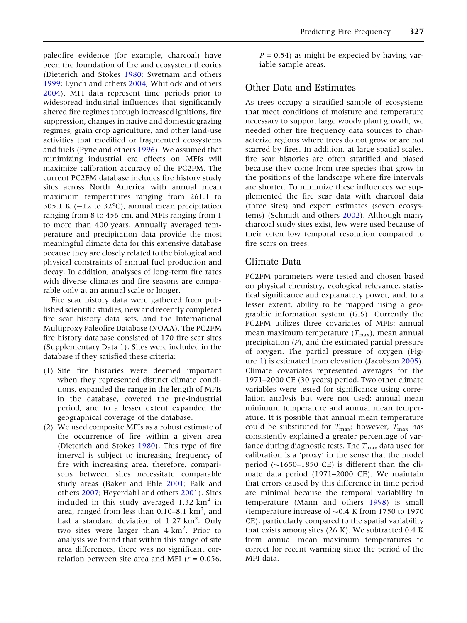paleofire evidence (for example, charcoal) have been the foundation of fire and ecosystem theories (Dieterich and Stokes [1980;](#page-11-0) Swetnam and others [1999;](#page-13-0) Lynch and others [2004;](#page-12-0) Whitlock and others [2004\)](#page-13-0). MFI data represent time periods prior to widespread industrial influences that significantly altered fire regimes through increased ignitions, fire suppression, changes in native and domestic grazing regimes, grain crop agriculture, and other land-use activities that modified or fragmented ecosystems and fuels (Pyne and others [1996](#page-12-0)). We assumed that minimizing industrial era effects on MFIs will maximize calibration accuracy of the PC2FM. The current PC2FM database includes fire history study sites across North America with annual mean maximum temperatures ranging from 261.1 to 305.1 K ( $-12$  to 32°C), annual mean precipitation ranging from 8 to 456 cm, and MFIs ranging from 1 to more than 400 years. Annually averaged temperature and precipitation data provide the most meaningful climate data for this extensive database because they are closely related to the biological and physical constraints of annual fuel production and decay. In addition, analyses of long-term fire rates with diverse climates and fire seasons are comparable only at an annual scale or longer.

Fire scar history data were gathered from published scientific studies, new and recently completed fire scar history data sets, and the International Multiproxy Paleofire Database (NOAA). The PC2FM fire history database consisted of 170 fire scar sites (Supplementary Data 1). Sites were included in the database if they satisfied these criteria:

- (1) Site fire histories were deemed important when they represented distinct climate conditions, expanded the range in the length of MFIs in the database, covered the pre-industrial period, and to a lesser extent expanded the geographical coverage of the database.
- (2) We used composite MFIs as a robust estimate of the occurrence of fire within a given area (Dieterich and Stokes [1980](#page-11-0)). This type of fire interval is subject to increasing frequency of fire with increasing area, therefore, comparisons between sites necessitate comparable study areas (Baker and Ehle [2001;](#page-11-0) Falk and others [2007;](#page-12-0) Heyerdahl and others [2001](#page-12-0)). Sites included in this study averaged 1.32  $km^2$  in area, ranged from less than  $0.10-8.1$  km<sup>2</sup>, and had a standard deviation of 1.27 km<sup>2</sup>. Only two sites were larger than  $4 \text{ km}^2$ . Prior to analysis we found that within this range of site area differences, there was no significant correlation between site area and MFI ( $r = 0.056$ ,

 $P = 0.54$ ) as might be expected by having variable sample areas.

## Other Data and Estimates

As trees occupy a stratified sample of ecosystems that meet conditions of moisture and temperature necessary to support large woody plant growth, we needed other fire frequency data sources to characterize regions where trees do not grow or are not scarred by fires. In addition, at large spatial scales, fire scar histories are often stratified and biased because they come from tree species that grow in the positions of the landscape where fire intervals are shorter. To minimize these influences we supplemented the fire scar data with charcoal data (three sites) and expert estimates (seven ecosystems) (Schmidt and others [2002\)](#page-12-0). Although many charcoal study sites exist, few were used because of their often low temporal resolution compared to fire scars on trees.

## Climate Data

PC2FM parameters were tested and chosen based on physical chemistry, ecological relevance, statistical significance and explanatory power, and, to a lesser extent, ability to be mapped using a geographic information system (GIS). Currently the PC2FM utilizes three covariates of MFIs: annual mean maximum temperature  $(T_{\text{max}})$ , mean annual precipitation (P), and the estimated partial pressure of oxygen. The partial pressure of oxygen (Figure [1\)](#page-1-0) is estimated from elevation (Jacobson [2005](#page-12-0)). Climate covariates represented averages for the 1971–2000 CE (30 years) period. Two other climate variables were tested for significance using correlation analysis but were not used; annual mean minimum temperature and annual mean temperature. It is possible that annual mean temperature could be substituted for  $T_{\text{max}}$ ; however,  $T_{\text{max}}$  has consistently explained a greater percentage of variance during diagnostic tests. The  $T_{\text{max}}$  data used for calibration is a 'proxy' in the sense that the model period  $(\sim] 1650 - 1850$  CE) is different than the climate data period (1971–2000 CE). We maintain that errors caused by this difference in time period are minimal because the temporal variability in temperature (Mann and others [1998](#page-12-0)) is small (temperature increase of  $\sim$ 0.4 K from 1750 to 1970 CE), particularly compared to the spatial variability that exists among sites (26 K). We subtracted 0.4 K from annual mean maximum temperatures to correct for recent warming since the period of the MFI data.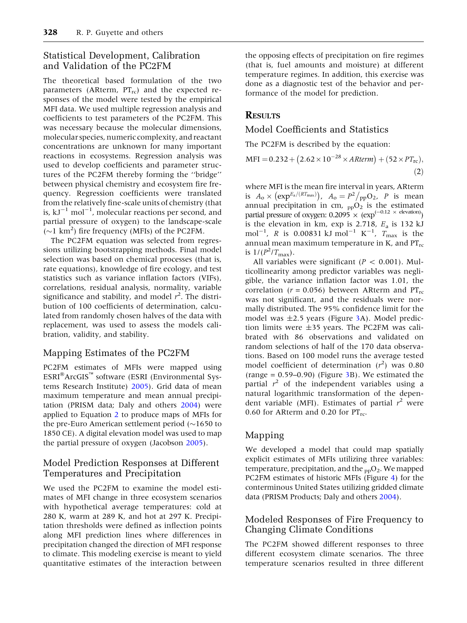## <span id="page-6-0"></span>Statistical Development, Calibration and Validation of the PC2FM

The theoretical based formulation of the two parameters (ARterm,  $PT_{rc}$ ) and the expected responses of the model were tested by the empirical MFI data. We used multiple regression analysis and coefficients to test parameters of the PC2FM. This was necessary because the molecular dimensions, molecular species, numeric complexity, and reactant concentrations are unknown for many important reactions in ecosystems. Regression analysis was used to develop coefficients and parameter structures of the PC2FM thereby forming the ''bridge'' between physical chemistry and ecosystem fire frequency. Regression coefficients were translated from the relatively fine-scale units of chemistry (that is,  $kJ^{-1}$   $mol^{-1}$ , molecular reactions per second, and partial pressure of oxygen) to the landscape-scale  $(\sim]1 \text{ km}^2)$  fire frequency (MFIs) of the PC2FM.

The PC2FM equation was selected from regressions utilizing bootstrapping methods. Final model selection was based on chemical processes (that is, rate equations), knowledge of fire ecology, and test statistics such as variance inflation factors (VIFs), correlations, residual analysis, normality, variable significance and stability, and model  $r^2$ . The distribution of 100 coefficients of determination, calculated from randomly chosen halves of the data with replacement, was used to assess the models calibration, validity, and stability.

## Mapping Estimates of the PC2FM

PC2FM estimates of MFIs were mapped using  $ESRI^{\circledast}ArcGIS^{\prime\prime\prime}$  software (ESRI (Environmental Systems Research Institute) [2005\)](#page-12-0). Grid data of mean maximum temperature and mean annual precipitation (PRISM data; Daly and others [2004](#page-11-0)) were applied to Equation 2 to produce maps of MFIs for the pre-Euro American settlement period  $(\sim]1650$  to 1850 CE). A digital elevation model was used to map the partial pressure of oxygen (Jacobson [2005](#page-12-0)).

## Model Prediction Responses at Different Temperatures and Precipitation

We used the PC2FM to examine the model estimates of MFI change in three ecosystem scenarios with hypothetical average temperatures: cold at 280 K, warm at 289 K, and hot at 297 K. Precipitation thresholds were defined as inflection points along MFI prediction lines where differences in precipitation changed the direction of MFI response to climate. This modeling exercise is meant to yield quantitative estimates of the interaction between the opposing effects of precipitation on fire regimes (that is, fuel amounts and moisture) at different temperature regimes. In addition, this exercise was done as a diagnostic test of the behavior and performance of the model for prediction.

## **RESULTS**

#### Model Coefficients and Statistics

The PC2FM is described by the equation:

$$
MFI = 0.232 + (2.62 \times 10^{-28} \times ARterm) + (52 \times PT_{rc}),
$$
\n(2)

where MFI is the mean fire interval in years, ARterm is  $A_0 \times (\exp^{E_a/(RT_{\text{max}})})$ ,  $A_0 = P^2 /_{\text{pp}} O_2$ , *P* is mean annual precipitation in cm,  $_{\text{pp}}O_{2}^{11}$  is the estimated partial pressure of oxygen:  $0.2095 \times (exp^{(-0.12 \times elevation)})$ is the elevation in km,  $\exp$  is 2.718,  $E_a$  is 132 kJ mol<sup>-1</sup>, *R* is 0.00831 kJ mol<sup>-1</sup> K<sup>-1</sup>,  $T_{\text{max}}$  is the annual mean maximum temperature in K, and  $PT_{rc}$ is  $1/(P^2/T_{\text{max}})$ .

All variables were significant ( $P < 0.001$ ). Multicollinearity among predictor variables was negligible, the variance inflation factor was 1.01, the correlation ( $r = 0.056$ ) between ARterm and  $PT_{rc}$ was not significant, and the residuals were normally distributed. The 95% confidence limit for the model was  $\pm 2.5$  years (Figure [3A](#page-7-0)). Model prediction limits were  $\pm 35$  years. The PC2FM was calibrated with 86 observations and validated on random selections of half of the 170 data observations. Based on 100 model runs the average tested model coefficient of determination  $(r^2)$  was 0.80 (range =  $0.59-0.90$ ) (Figure [3B](#page-7-0)). We estimated the partial  $r^2$  of the independent variables using a natural logarithmic transformation of the dependent variable (MFI). Estimates of partial  $r^2$  were 0.60 for ARterm and 0.20 for  $PT_{rc}$ .

## Mapping

We developed a model that could map spatially explicit estimates of MFIs utilizing three variables: temperature, precipitation, and the  $_{\text{pp}}O_2$ . We mapped PC2FM estimates of historic MFIs (Figure [4](#page-8-0)) for the conterminous United States utilizing gridded climate data (PRISM Products; Daly and others [2004](#page-11-0)).

## Modeled Responses of Fire Frequency to Changing Climate Conditions

The PC2FM showed different responses to three different ecosystem climate scenarios. The three temperature scenarios resulted in three different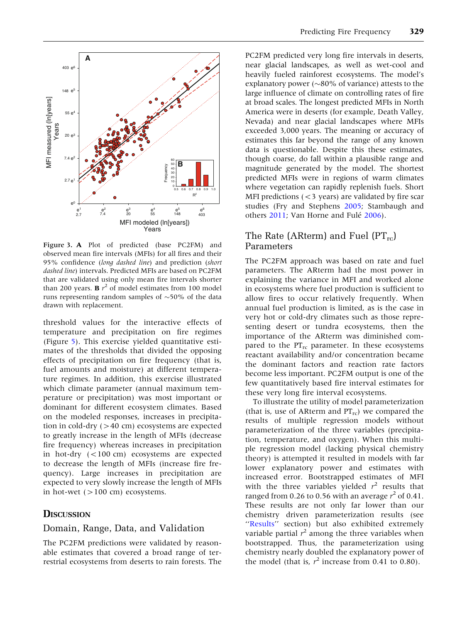

<span id="page-7-0"></span>

Figure 3. A Plot of predicted (base PC2FM) and observed mean fire intervals (MFIs) for all fires and their 95% confidence (long dashed line) and prediction (short dashed line) intervals. Predicted MFIs are based on PC2FM that are validated using only mean fire intervals shorter than 200 years. **B**  $r^2$  of model estimates from 100 model runs representing random samples of  $\sim$ 50% of the data drawn with replacement.

threshold values for the interactive effects of temperature and precipitation on fire regimes (Figure [5\)](#page-9-0). This exercise yielded quantitative estimates of the thresholds that divided the opposing effects of precipitation on fire frequency (that is, fuel amounts and moisture) at different temperature regimes. In addition, this exercise illustrated which climate parameter (annual maximum temperature or precipitation) was most important or dominant for different ecosystem climates. Based on the modeled responses, increases in precipitation in cold-dry  $(>40 \text{ cm})$  ecosystems are expected to greatly increase in the length of MFIs (decrease fire frequency) whereas increases in precipitation in hot-dry (<100 cm) ecosystems are expected to decrease the length of MFIs (increase fire frequency). Large increases in precipitation are expected to very slowly increase the length of MFIs in hot-wet  $(>100 \text{ cm})$  ecosystems.

## **DISCUSSION**

#### Domain, Range, Data, and Validation

The PC2FM predictions were validated by reasonable estimates that covered a broad range of terrestrial ecosystems from deserts to rain forests. The

PC2FM predicted very long fire intervals in deserts, near glacial landscapes, as well as wet-cool and heavily fueled rainforest ecosystems. The model's explanatory power ( $\sim$ 80% of variance) attests to the large influence of climate on controlling rates of fire at broad scales. The longest predicted MFIs in North America were in deserts (for example, Death Valley, Nevada) and near glacial landscapes where MFIs exceeded 3,000 years. The meaning or accuracy of estimates this far beyond the range of any known data is questionable. Despite this these estimates, though coarse, do fall within a plausible range and magnitude generated by the model. The shortest predicted MFIs were in regions of warm climates where vegetation can rapidly replenish fuels. Short MFI predictions  $(<$ 3 years) are validated by fire scar studies (Fry and Stephens [2005;](#page-12-0) Stambaugh and others [2011;](#page-12-0) Van Horne and Fulé [2006\)](#page-13-0).

## The Rate (ARterm) and Fuel  $(PT_{rc})$ Parameters

The PC2FM approach was based on rate and fuel parameters. The ARterm had the most power in explaining the variance in MFI and worked alone in ecosystems where fuel production is sufficient to allow fires to occur relatively frequently. When annual fuel production is limited, as is the case in very hot or cold-dry climates such as those representing desert or tundra ecosystems, then the importance of the ARterm was diminished compared to the  $PT_{rc}$  parameter. In these ecosystems reactant availability and/or concentration became the dominant factors and reaction rate factors become less important. PC2FM output is one of the few quantitatively based fire interval estimates for these very long fire interval ecosystems.

To illustrate the utility of model parameterization (that is, use of ARterm and  $PT_{rc}$ ) we compared the results of multiple regression models without parameterization of the three variables (precipitation, temperature, and oxygen). When this multiple regression model (lacking physical chemistry theory) is attempted it resulted in models with far lower explanatory power and estimates with increased error. Bootstrapped estimates of MFI with the three variables yielded  $r^2$  results that ranged from 0.26 to 0.56 with an average  $r^2$  of 0.41. These results are not only far lower than our chemistry driven parameterization results (see "[Results](#page-6-0)" section) but also exhibited extremely variable partial  $r^2$  among the three variables when bootstrapped. Thus, the parameterization using chemistry nearly doubled the explanatory power of the model (that is,  $r^2$  increase from 0.41 to 0.80).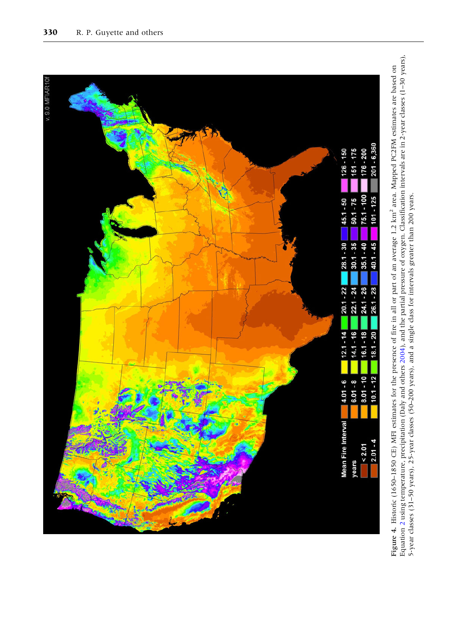<span id="page-8-0"></span>

Equation 2 using temperature, precipitation (Daly and others 2004), and the partial pressure of oxygen. Classification intervals are in 2-year classes (1–30 years),<br>5-year classes (31–50 years), 25-year classes (50–200 yea Equation [2](#page-6-0) using temperature, precipitation (Daly and others [2004](#page-11-0)), and the partial pressure of oxygen. Classification intervals are in 2-year classes (1–30 years), Figure 4. Historic (1650–1850 CE) MFI estimates for the presence of fire in all or part of an average 1.2 km<sup>2</sup> area. Mapped PC2FM estimates are based on Figure 4. Historic (1650–1850 CE) MFI estimates for the presence of fire in all or part of an average 1.2 km2 area. Mapped PC2FM estimates are based on 5-year classes (31–50 years), 25-year classes (50–200 years), and a single class for intervals greater than 200 years.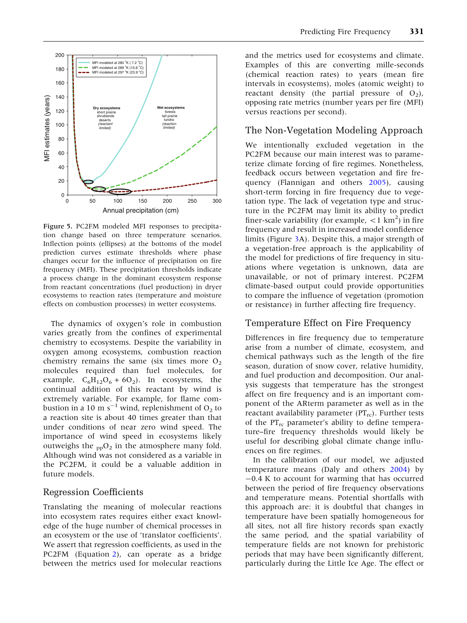<span id="page-9-0"></span>

Figure 5. PC2FM modeled MFI responses to precipitation change based on three temperature scenarios. Inflection points (ellipses) at the bottoms of the model prediction curves estimate thresholds where phase changes occur for the influence of precipitation on fire frequency (MFI). These precipitation thresholds indicate a process change in the dominant ecosystem response from reactant concentrations (fuel production) in dryer ecosystems to reaction rates (temperature and moisture effects on combustion processes) in wetter ecosystems.

The dynamics of oxygen's role in combustion varies greatly from the confines of experimental chemistry to ecosystems. Despite the variability in oxygen among ecosystems, combustion reaction chemistry remains the same (six times more  $O<sub>2</sub>$ ) molecules required than fuel molecules, for example,  $C_6H_{12}O_6 + 6O_2$ ). In ecosystems, the continual addition of this reactant by wind is extremely variable. For example, for flame combustion in a 10 m s<sup>-1</sup> wind, replenishment of  $O_2$  to a reaction site is about 40 times greater than that under conditions of near zero wind speed. The importance of wind speed in ecosystems likely outweighs the  $_{\text{pp}}O_2$  in the atmosphere many fold. Although wind was not considered as a variable in the PC2FM, it could be a valuable addition in future models.

#### Regression Coefficients

Translating the meaning of molecular reactions into ecosystem rates requires either exact knowledge of the huge number of chemical processes in an ecosystem or the use of 'translator coefficients'. We assert that regression coefficients, as used in the PC2FM (Equation [2](#page-6-0)), can operate as a bridge between the metrics used for molecular reactions

and the metrics used for ecosystems and climate. Examples of this are converting mille-seconds (chemical reaction rates) to years (mean fire intervals in ecosystems), moles (atomic weight) to reactant density (the partial pressure of  $O_2$ ), opposing rate metrics (number years per fire (MFI) versus reactions per second).

#### The Non-Vegetation Modeling Approach

We intentionally excluded vegetation in the PC2FM because our main interest was to parameterize climate forcing of fire regimes. Nonetheless, feedback occurs between vegetation and fire frequency (Flannigan and others [2005](#page-12-0)), causing short-term forcing in fire frequency due to vegetation type. The lack of vegetation type and structure in the PC2FM may limit its ability to predict finer-scale variability (for example,  $\langle 1 \text{ km}^2 \rangle$  in fire frequency and result in increased model confidence limits (Figure [3](#page-7-0)A). Despite this, a major strength of a vegetation-free approach is the applicability of the model for predictions of fire frequency in situations where vegetation is unknown, data are unavailable, or not of primary interest. PC2FM climate-based output could provide opportunities to compare the influence of vegetation (promotion or resistance) in further affecting fire frequency.

#### Temperature Effect on Fire Frequency

Differences in fire frequency due to temperature arise from a number of climate, ecosystem, and chemical pathways such as the length of the fire season, duration of snow cover, relative humidity, and fuel production and decomposition. Our analysis suggests that temperature has the strongest affect on fire frequency and is an important component of the ARterm parameter as well as in the reactant availability parameter  $(PT_{rc})$ . Further tests of the PT<sub>rc</sub> parameter's ability to define temperature–fire frequency thresholds would likely be useful for describing global climate change influences on fire regimes.

In the calibration of our model, we adjusted temperature means (Daly and others [2004](#page-11-0)) by -0.4 K to account for warming that has occurred between the period of fire frequency observations and temperature means. Potential shortfalls with this approach are: it is doubtful that changes in temperature have been spatially homogeneous for all sites, not all fire history records span exactly the same period, and the spatial variability of temperature fields are not known for prehistoric periods that may have been significantly different, particularly during the Little Ice Age. The effect or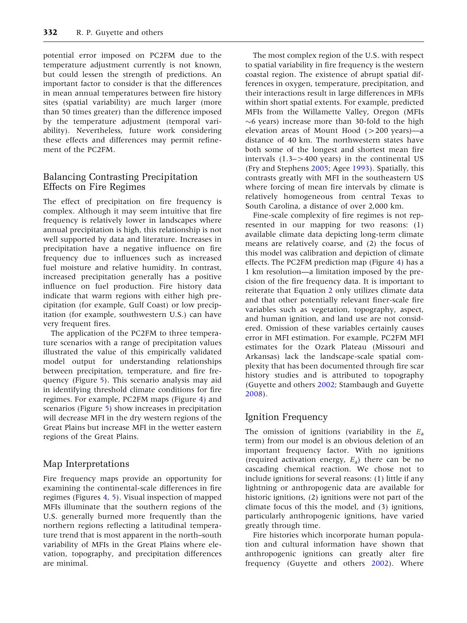potential error imposed on PC2FM due to the temperature adjustment currently is not known, but could lessen the strength of predictions. An important factor to consider is that the differences in mean annual temperatures between fire history sites (spatial variability) are much larger (more than 50 times greater) than the difference imposed by the temperature adjustment (temporal variability). Nevertheless, future work considering these effects and differences may permit refinement of the PC2FM.

#### Balancing Contrasting Precipitation Effects on Fire Regimes

The effect of precipitation on fire frequency is complex. Although it may seem intuitive that fire frequency is relatively lower in landscapes where annual precipitation is high, this relationship is not well supported by data and literature. Increases in precipitation have a negative influence on fire frequency due to influences such as increased fuel moisture and relative humidity. In contrast, increased precipitation generally has a positive influence on fuel production. Fire history data indicate that warm regions with either high precipitation (for example, Gulf Coast) or low precipitation (for example, southwestern U.S.) can have very frequent fires.

The application of the PC2FM to three temperature scenarios with a range of precipitation values illustrated the value of this empirically validated model output for understanding relationships between precipitation, temperature, and fire frequency (Figure [5\)](#page-9-0). This scenario analysis may aid in identifying threshold climate conditions for fire regimes. For example, PC2FM maps (Figure [4\)](#page-8-0) and scenarios (Figure [5\)](#page-9-0) show increases in precipitation will decrease MFI in the dry western regions of the Great Plains but increase MFI in the wetter eastern regions of the Great Plains.

#### Map Interpretations

Fire frequency maps provide an opportunity for examining the continental-scale differences in fire regimes (Figures [4,](#page-8-0) [5\)](#page-9-0). Visual inspection of mapped MFIs illuminate that the southern regions of the U.S. generally burned more frequently than the northern regions reflecting a latitudinal temperature trend that is most apparent in the north–south variability of MFIs in the Great Plains where elevation, topography, and precipitation differences are minimal.

The most complex region of the U.S. with respect to spatial variability in fire frequency is the western coastal region. The existence of abrupt spatial differences in oxygen, temperature, precipitation, and their interactions result in large differences in MFIs within short spatial extents. For example, predicted MFIs from the Willamette Valley, Oregon (MFIs  $\sim$ 6 years) increase more than 30-fold to the high elevation areas of Mount Hood  $(>200 \text{ years})$ —a distance of 40 km. The northwestern states have both some of the longest and shortest mean fire intervals (1.3–>400 years) in the continental US (Fry and Stephens [2005;](#page-12-0) Agee [1993](#page-11-0)). Spatially, this contrasts greatly with MFI in the southeastern US where forcing of mean fire intervals by climate is relatively homogeneous from central Texas to South Carolina, a distance of over 2,000 km.

Fine-scale complexity of fire regimes is not represented in our mapping for two reasons: (1) available climate data depicting long-term climate means are relatively coarse, and (2) the focus of this model was calibration and depiction of climate effects. The PC2FM prediction map (Figure [4](#page-8-0)) has a 1 km resolution—a limitation imposed by the precision of the fire frequency data. It is important to reiterate that Equation [2](#page-6-0) only utilizes climate data and that other potentially relevant finer-scale fire variables such as vegetation, topography, aspect, and human ignition, and land use are not considered. Omission of these variables certainly causes error in MFI estimation. For example, PC2FM MFI estimates for the Ozark Plateau (Missouri and Arkansas) lack the landscape-scale spatial complexity that has been documented through fire scar history studies and is attributed to topography (Guyette and others [2002;](#page-12-0) Stambaugh and Guyette [2008\)](#page-12-0).

## Ignition Frequency

The omission of ignitions (variability in the  $E_a$ term) from our model is an obvious deletion of an important frequency factor. With no ignitions (required activation energy,  $E_a$ ) there can be no cascading chemical reaction. We chose not to include ignitions for several reasons: (1) little if any lightning or anthropogenic data are available for historic ignitions, (2) ignitions were not part of the climate focus of this the model, and (3) ignitions, particularly anthropogenic ignitions, have varied greatly through time.

Fire histories which incorporate human population and cultural information have shown that anthropogenic ignitions can greatly alter fire frequency (Guyette and others [2002](#page-12-0)). Where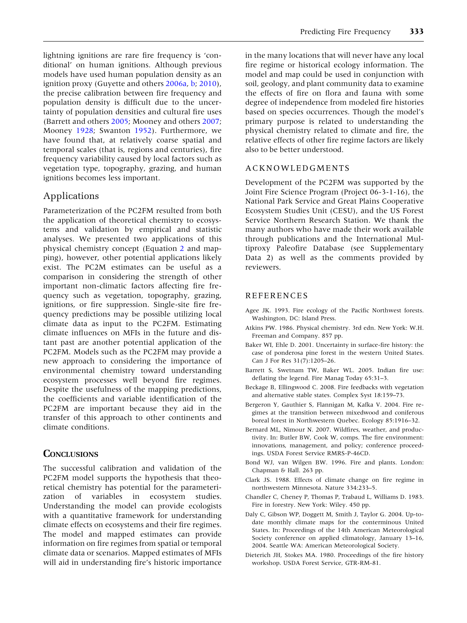<span id="page-11-0"></span>lightning ignitions are rare fire frequency is 'conditional' on human ignitions. Although previous models have used human population density as an ignition proxy (Guyette and others [2006a,](#page-12-0) [b](#page-12-0); [2010](#page-12-0)), the precise calibration between fire frequency and population density is difficult due to the uncertainty of population densities and cultural fire uses (Barrett and others 2005; Mooney and others [2007](#page-12-0); Mooney [1928;](#page-12-0) Swanton [1952\)](#page-12-0). Furthermore, we have found that, at relatively coarse spatial and temporal scales (that is, regions and centuries), fire frequency variability caused by local factors such as

vegetation type, topography, grazing, and human

ignitions becomes less important.

## Applications

Parameterization of the PC2FM resulted from both the application of theoretical chemistry to ecosystems and validation by empirical and statistic analyses. We presented two applications of this physical chemistry concept (Equation [2](#page-6-0) and mapping), however, other potential applications likely exist. The PC2M estimates can be useful as a comparison in considering the strength of other important non-climatic factors affecting fire frequency such as vegetation, topography, grazing, ignitions, or fire suppression. Single-site fire frequency predictions may be possible utilizing local climate data as input to the PC2FM. Estimating climate influences on MFIs in the future and distant past are another potential application of the PC2FM. Models such as the PC2FM may provide a new approach to considering the importance of environmental chemistry toward understanding ecosystem processes well beyond fire regimes. Despite the usefulness of the mapping predictions, the coefficients and variable identification of the PC2FM are important because they aid in the transfer of this approach to other continents and climate conditions.

## **CONCLUSIONS**

The successful calibration and validation of the PC2FM model supports the hypothesis that theoretical chemistry has potential for the parameterization of variables in ecosystem studies. Understanding the model can provide ecologists with a quantitative framework for understanding climate effects on ecosystems and their fire regimes. The model and mapped estimates can provide information on fire regimes from spatial or temporal climate data or scenarios. Mapped estimates of MFIs will aid in understanding fire's historic importance

in the many locations that will never have any local fire regime or historical ecology information. The model and map could be used in conjunction with soil, geology, and plant community data to examine the effects of fire on flora and fauna with some degree of independence from modeled fire histories based on species occurrences. Though the model's primary purpose is related to understanding the physical chemistry related to climate and fire, the relative effects of other fire regime factors are likely also to be better understood.

#### ACKNOWLEDGMENTS

Development of the PC2FM was supported by the Joint Fire Science Program (Project 06-3-1-16), the National Park Service and Great Plains Cooperative Ecosystem Studies Unit (CESU), and the US Forest Service Northern Research Station. We thank the many authors who have made their work available through publications and the International Multiproxy Paleofire Database (see Supplementary Data 2) as well as the comments provided by reviewers.

#### REFERENCES

- Agee JK. 1993. Fire ecology of the Pacific Northwest forests. Washington, DC: Island Press.
- Atkins PW. 1986. Physical chemistry. 3rd edn. New York: W.H. Freeman and Company. 857 pp.
- Baker WI, Ehle D. 2001. Uncertainty in surface-fire history: the case of ponderosa pine forest in the western United States. Can J For Res 31(7):1205–26.
- Barrett S, Swetnam TW, Baker WL. 2005. Indian fire use: deflating the legend. Fire Manag Today 65:31–3.
- Beckage B, Ellingwood C. 2008. Fire feedbacks with vegetation and alternative stable states. Complex Syst 18:159–73.
- Bergeron Y, Gauthier S, Flannigan M, Kafka V. 2004. Fire regimes at the transition between mixedwood and coniferous boreal forest in Northwestern Quebec. Ecology 85:1916–32.
- Bernard ML, Nimour N. 2007. Wildfires, weather, and productivity. In: Butler BW, Cook W, comps. The fire environment: innovations, management, and policy; conference proceedings. USDA Forest Service RMRS-P-46CD.
- Bond WJ, van Wilgen BW. 1996. Fire and plants. London: Chapman & Hall. 263 pp.
- Clark JS. 1988. Effects of climate change on fire regime in northwestern Minnesota. Nature 334:233–5.
- Chandler C, Cheney P, Thomas P, Trabaud L, Williams D. 1983. Fire in forestry. New York: Wiley. 450 pp.
- Daly C, Gibson WP, Doggett M, Smith J, Taylor G. 2004. Up-todate monthly climate maps for the conterminous United States. In: Proceedings of the 14th American Meteorological Society conference on applied climatology, January 13–16, 2004. Seattle WA: American Meteorological Society.
- Dieterich JH, Stokes MA. 1980. Proceedings of the fire history workshop. USDA Forest Service, GTR-RM-81.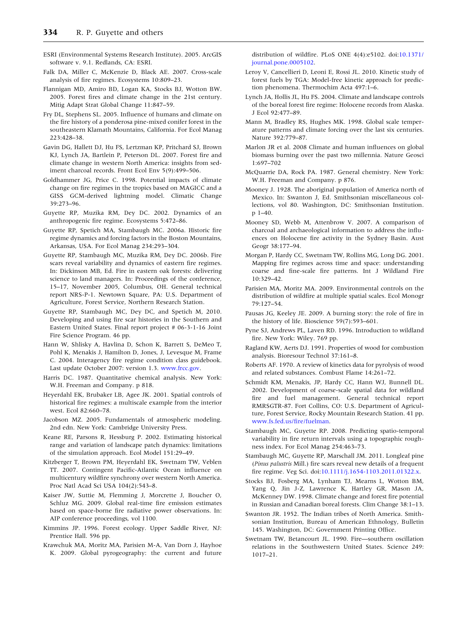- <span id="page-12-0"></span>ESRI (Environmental Systems Research Institute). 2005. ArcGIS software v. 9.1. Redlands, CA: ESRI.
- Falk DA, Miller C, McKenzie D, Black AE. 2007. Cross-scale analysis of fire regimes. Ecosystems 10:809–23.
- Flannigan MD, Amiro BD, Logan KA, Stocks BJ, Wotton BW. 2005. Forest fires and climate change in the 21st century. Mitig Adapt Strat Global Change 11:847–59.
- Fry DL, Stephens SL. 2005. Influence of humans and climate on the fire history of a ponderosa pine-mixed conifer forest in the southeastern Klamath Mountains, California. For Ecol Manag 223:428–38.
- Gavin DG, Hallett DJ, Hu FS, Lertzman KP, Pritchard SJ, Brown KJ, Lynch JA, Bartlein P, Peterson DL. 2007. Forest fire and climate change in western North America: insights from sediment charcoal records. Front Ecol Env 5(9):499–506.
- Goldhammer JG, Price C. 1998. Potential impacts of climate change on fire regimes in the tropics based on MAGICC and a GISS GCM-derived lightning model. Climatic Change 39:273–96.
- Guyette RP, Muzika RM, Dey DC. 2002. Dynamics of an anthropogenic fire regime. Ecosystems 5:472–86.
- Guyette RP, Spetich MA, Stambaugh MC. 2006a. Historic fire regime dynamics and forcing factors in the Boston Mountains, Arkansas, USA. For Ecol Manag 234:293–304.
- Guyette RP, Stambaugh MC, Muzika RM, Dey DC. 2006b. Fire scars reveal variability and dynamics of eastern fire regimes. In: Dickinson MB, Ed. Fire in eastern oak forests: delivering science to land managers. In: Proceedings of the conference, 15–17, November 2005, Columbus, OH. General technical report NRS-P-1. Newtown Square, PA: U.S. Department of Agriculture, Forest Service, Northern Research Station.
- Guyette RP, Stambaugh MC, Dey DC, and Spetich M, 2010. Developing and using fire scar histories in the Southern and Eastern United States. Final report project # 06-3-1-16 Joint Fire Science Program. 46 pp.
- Hann W, Shlisky A, Havlina D, Schon K, Barrett S, DeMeo T, Pohl K, Menakis J, Hamilton D, Jones, J, Levesque M, Frame C. 2004. Interagency fire regime condition class guidebook. Last update October 2007: version 1.3. [www.frcc.gov.](http://www.frcc.gov)
- Harris DC. 1987. Quantitative chemical analysis. New York: W.H. Freeman and Company. p 818.
- Heyerdahl EK, Brubaker LB, Agee JK. 2001. Spatial controls of historical fire regimes: a multiscale example from the interior west. Ecol 82:660–78.
- Jacobson MZ. 2005. Fundamentals of atmospheric modeling. 2nd edn. New York: Cambridge University Press.
- Keane RE, Parsons R, Hessburg P. 2002. Estimating historical range and variation of landscape patch dynamics: limitations of the simulation approach. Ecol Model 151:29–49.
- Kitzberger T, Brown PM, Heyerdahl EK, Swetnam TW, Veblen TT. 2007. Contingent Pacific-Atlantic Ocean influence on multicentury wildfire synchrony over western North America. Proc Natl Acad Sci USA 104(2):543–8.
- Kaiser JW, Suttie M, Flemming J, Morcrette J, Boucher O, Schluz MG. 2009. Global real-time fire emission estimates based on space-borne fire radiative power observations. In: AIP conference proceedings, vol 1100.
- Kimmins JP. 1996. Forest ecology. Upper Saddle River, NJ: Prentice Hall. 596 pp.
- Krawchuk MA, Moritz MA, Parisien M-A, Van Dorn J, Hayhoe K. 2009. Global pyrogeography: the current and future

distribution of wildfire. PLoS ONE 4(4):e5102. doi[:10.1371/](http://dx.doi.org/10.1371/journal.pone.0005102) [journal.pone.0005102.](http://dx.doi.org/10.1371/journal.pone.0005102)

- Leroy V, Cancellieri D, Leoni E, Rossi JL. 2010. Kinetic study of forest fuels by TGA: Model-free kinetic approach for prediction phenomena. Thermochim Acta 497:1–6.
- Lynch JA, Hollis JL, Hu FS. 2004. Climate and landscape controls of the boreal forest fire regime: Holocene records from Alaska. J Ecol 92:477–89.
- Mann M, Bradley RS, Hughes MK. 1998. Global scale temperature patterns and climate forcing over the last six centuries. Nature 392:779–87.
- Marlon JR et al. 2008 Climate and human influences on global biomass burning over the past two millennia. Nature Geosci 1:697–702
- McQuarrie DA, Rock PA. 1987. General chemistry. New York: W.H. Freeman and Company. p 876.
- Mooney J. 1928. The aboriginal population of America north of Mexico. In: Swanton J, Ed. Smithsonian miscellaneous collections, vol 80. Washington, DC: Smithsonian Institution. p 1–40.
- Mooney SD, Webb M, Attenbrow V. 2007. A comparison of charcoal and archaeological information to address the influences on Holocene fire activity in the Sydney Basin. Aust Geogr 38:177–94.
- Morgan P, Hardy CC, Swetnam TW, Rollins MG, Long DG. 2001. Mapping fire regimes across time and space: understanding coarse and fine-scale fire patterns. Int J Wildland Fire 10:329–42.
- Parisien MA, Moritz MA. 2009. Environmental controls on the distribution of wildfire at multiple spatial scales. Ecol Monogr 79:127–54.
- Pausas JG, Keeley JE. 2009. A burning story: the role of fire in the history of life. Bioscience 59(7):593–601.
- Pyne SJ, Andrews PL, Laven RD. 1996. Introduction to wildland fire. New York: Wiley. 769 pp.
- Ragland KW, Aerts DJ. 1991. Properties of wood for combustion analysis. Bioresour Technol 37:161–8.
- Roberts AF. 1970. A review of kinetics data for pyrolysis of wood and related substances. Combust Flame 14:261–72.
- Schmidt KM, Menakis, JP, Hardy CC, Hann WJ, Bunnell DL. 2002. Development of coarse-scale spatial data for wildland fire and fuel management. General technical report RMRSGTR-87. Fort Collins, CO: U.S. Department of Agriculture, Forest Service, Rocky Mountain Research Station. 41 pp. [www.fs.fed.us/fire/fuelman](http://www.fs.fed.us/fire/fuelman).
- Stambaugh MC, Guyette RP. 2008. Predicting spatio-temporal variability in fire return intervals using a topographic roughness index. For Ecol Manag 254:463–73.
- Stambaugh MC, Guyette RP, Marschall JM. 2011. Longleaf pine (Pinus palustris Mill.) fire scars reveal new details of a frequent fire regime. Veg Sci. doi[:10.1111/j.1654-1103.2011.01322.x](http://dx.doi.org/10.1111/j.1654-1103.2011.01322.x).
- Stocks BJ, Fosberg MA, Lynham TJ, Mearns L, Wotton BM, Yang Q, Jin J-Z, Lawrence K, Hartley GR, Mason JA, McKenney DW. 1998. Climate change and forest fire potential in Russian and Canadian boreal forests. Clim Change 38:1–13.
- Swanton JR. 1952. The Indian tribes of North America. Smithsonian Institution, Bureau of American Ethnology, Bulletin 145. Washington, DC: Government Printing Office.
- Swetnam TW, Betancourt JL. 1990. Fire—southern oscillation relations in the Southwestern United States. Science 249: 1017–21.